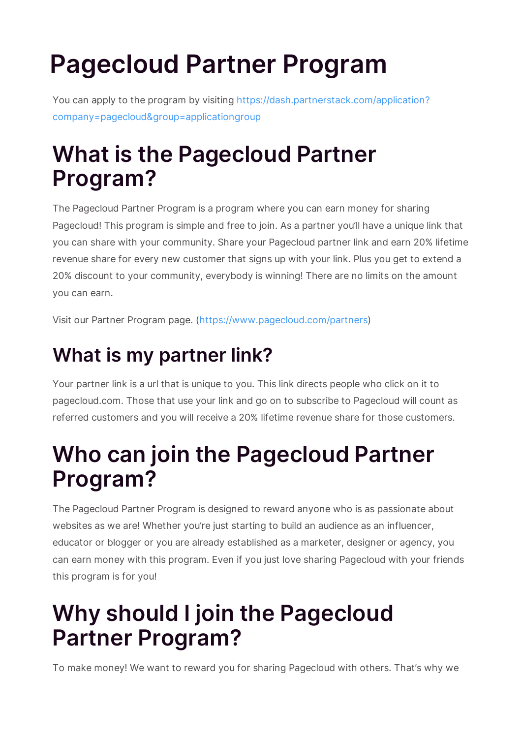# **Pagecloud Partner Program**

You can apply to the program by visiting https://dash.partnerstack.com/application? company=pagecloud&group=applicationgroup

### **What is the Pagecloud Partner Program?**

The Pagecloud Partner Program is a program where you can earn money for sharing Pagecloud! This program is simple and free to join. As a partner you'll have a unique link that you can share with your community. Share your Pagecloud partner link and earn 20% lifetime revenue share for every new customer that signs up with your link. Plus you get to extend a 20% discount to your community, everybody is winning! There are no limits on the amount you can earn.

Visit our Partner Program page. (https://www.pagecloud.com/partners)

### **What is my partner link?**

Your partner link is a url that is unique to you. This link directs people who click on it to pagecloud.com. Those that use your link and go on to subscribe to Pagecloud will count as referred customers and you will receive a 20% lifetime revenue share for those customers.

### **Who can join the Pagecloud Partner Program?**

The Pagecloud Partner Program is designed to reward anyone who is as passionate about websites as we are! Whether you're just starting to build an audience as an influencer, educator or blogger or you are already established as a marketer, designer or agency, you can earn money with this program. Even if you just love sharing Pagecloud with your friends this program is for you!

### **Why should I join the Pagecloud Partner Program?**

To make money! We want to reward you for sharing Pagecloud with others. That's why we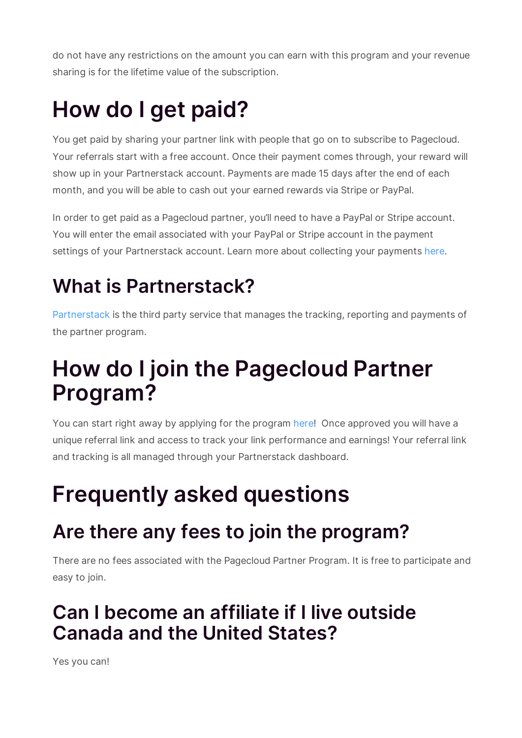do not have any restrictions on the amount you can earn with this program and your revenue sharing is for the lifetime value of the subscription.

# **How do I get paid?**

You get paid by sharing your partner link with people that go on to subscribe to Pagecloud. Your referrals start with a free account. Once their payment comes through, your reward will show up in your Partnerstack account. Payments are made 15 days after the end of each month, and you will be able to cash out your earned rewards via Stripe or PayPal.

In order to get paid as a Pagecloud partner, you'll need to have a PayPal or Stripe account. You will enter the email associated with your PayPal or Stripe account in the payment settings of your Partnerstack account. Learn more about collecting your payments here.

### **What is Partnerstack?**

Partnerstack is the third party service that manages the tracking, reporting and payments of the partner program.

### **How do I join the Pagecloud Partner Program?**

You can start right away by applying for the program here! Once approved you will have a unique referral link and access to track your link performance and earnings! Your referral link and tracking is all managed through your Partnerstack dashboard.

## **Frequently asked questions**

#### **Are there any fees to join the program?**

There are no fees associated with the Pagecloud Partner Program. It is free to participate and easy to join.

#### **Can I become an affiliate if I live outside Canada and the United States?**

Yes you can!